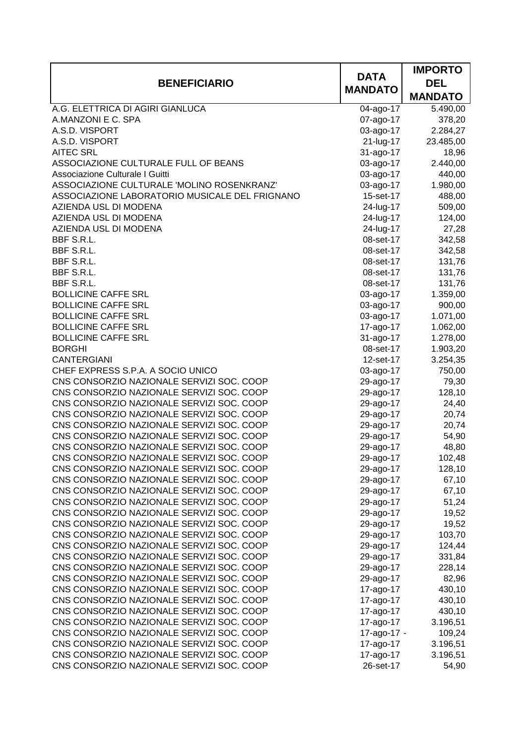|                                                                                        |                        | <b>IMPORTO</b>    |
|----------------------------------------------------------------------------------------|------------------------|-------------------|
| <b>BENEFICIARIO</b>                                                                    | <b>DATA</b>            | <b>DEL</b>        |
|                                                                                        | <b>MANDATO</b>         | <b>MANDATO</b>    |
| A.G. ELETTRICA DI AGIRI GIANLUCA                                                       | 04-ago-17              | 5.490,00          |
| A.MANZONI E C. SPA                                                                     | 07-ago-17              | 378,20            |
| A.S.D. VISPORT                                                                         | 03-ago-17              | 2.284,27          |
| A.S.D. VISPORT                                                                         | 21-lug-17              | 23.485,00         |
| <b>AITEC SRL</b>                                                                       | 31-ago-17              | 18,96             |
| ASSOCIAZIONE CULTURALE FULL OF BEANS                                                   | 03-ago-17              | 2.440,00          |
| Associazione Culturale I Guitti                                                        | 03-ago-17              | 440,00            |
| ASSOCIAZIONE CULTURALE 'MOLINO ROSENKRANZ'                                             | 03-ago-17              | 1.980,00          |
| ASSOCIAZIONE LABORATORIO MUSICALE DEL FRIGNANO                                         | 15-set-17              | 488,00            |
| AZIENDA USL DI MODENA                                                                  | 24-lug-17              | 509,00            |
| AZIENDA USL DI MODENA                                                                  | 24-lug-17              | 124,00            |
| AZIENDA USL DI MODENA                                                                  | 24-lug-17              | 27,28             |
| BBF S.R.L.                                                                             | 08-set-17              | 342,58            |
| BBF S.R.L.                                                                             | 08-set-17              | 342,58            |
| BBF S.R.L.                                                                             | 08-set-17              | 131,76            |
| BBF S.R.L.                                                                             | 08-set-17              | 131,76            |
| BBF S.R.L.                                                                             | 08-set-17              | 131,76            |
| <b>BOLLICINE CAFFE SRL</b>                                                             | 03-ago-17              | 1.359,00          |
| <b>BOLLICINE CAFFE SRL</b>                                                             | 03-ago-17              | 900,00            |
| <b>BOLLICINE CAFFE SRL</b>                                                             | 03-ago-17              | 1.071,00          |
| <b>BOLLICINE CAFFE SRL</b>                                                             | 17-ago-17              | 1.062,00          |
| <b>BOLLICINE CAFFE SRL</b>                                                             | 31-ago-17              | 1.278,00          |
| <b>BORGHI</b>                                                                          | 08-set-17              | 1.903,20          |
| <b>CANTERGIANI</b>                                                                     | 12-set-17              | 3.254,35          |
| CHEF EXPRESS S.P.A. A SOCIO UNICO                                                      | 03-ago-17              | 750,00            |
| CNS CONSORZIO NAZIONALE SERVIZI SOC. COOP                                              | 29-ago-17              | 79,30             |
| CNS CONSORZIO NAZIONALE SERVIZI SOC. COOP                                              | 29-ago-17              | 128,10            |
| CNS CONSORZIO NAZIONALE SERVIZI SOC. COOP                                              | 29-ago-17              | 24,40             |
| CNS CONSORZIO NAZIONALE SERVIZI SOC. COOP                                              | 29-ago-17              | 20,74             |
| CNS CONSORZIO NAZIONALE SERVIZI SOC. COOP                                              | 29-ago-17              | 20,74             |
| CNS CONSORZIO NAZIONALE SERVIZI SOC. COOP                                              | 29-ago-17              | 54,90             |
| CNS CONSORZIO NAZIONALE SERVIZI SOC. COOP                                              | 29-ago-17              | 48,80             |
| CNS CONSORZIO NAZIONALE SERVIZI SOC. COOP                                              | 29-ago-17              | 102,48            |
| CNS CONSORZIO NAZIONALE SERVIZI SOC. COOP                                              | 29-ago-17              | 128,10            |
| CNS CONSORZIO NAZIONALE SERVIZI SOC. COOP                                              | 29-ago-17              | 67,10             |
| CNS CONSORZIO NAZIONALE SERVIZI SOC. COOP                                              | 29-ago-17              | 67,10             |
| CNS CONSORZIO NAZIONALE SERVIZI SOC. COOP                                              | 29-ago-17              | 51,24             |
| CNS CONSORZIO NAZIONALE SERVIZI SOC. COOP                                              | 29-ago-17              | 19,52             |
| CNS CONSORZIO NAZIONALE SERVIZI SOC. COOP                                              | 29-ago-17              | 19,52             |
| CNS CONSORZIO NAZIONALE SERVIZI SOC. COOP                                              | 29-ago-17              | 103,70            |
| CNS CONSORZIO NAZIONALE SERVIZI SOC. COOP                                              | 29-ago-17              | 124,44            |
| CNS CONSORZIO NAZIONALE SERVIZI SOC. COOP                                              | 29-ago-17              | 331,84            |
| CNS CONSORZIO NAZIONALE SERVIZI SOC. COOP                                              | 29-ago-17              | 228,14            |
| CNS CONSORZIO NAZIONALE SERVIZI SOC. COOP                                              | 29-ago-17              | 82,96             |
| CNS CONSORZIO NAZIONALE SERVIZI SOC. COOP                                              | 17-ago-17              | 430,10            |
| CNS CONSORZIO NAZIONALE SERVIZI SOC. COOP                                              | 17-ago-17              | 430,10            |
| CNS CONSORZIO NAZIONALE SERVIZI SOC. COOP                                              | 17-ago-17              | 430,10            |
| CNS CONSORZIO NAZIONALE SERVIZI SOC. COOP                                              | 17-ago-17              | 3.196,51          |
| CNS CONSORZIO NAZIONALE SERVIZI SOC. COOP                                              | 17-ago-17 -            | 109,24            |
| CNS CONSORZIO NAZIONALE SERVIZI SOC. COOP<br>CNS CONSORZIO NAZIONALE SERVIZI SOC. COOP | 17-ago-17              | 3.196,51          |
| CNS CONSORZIO NAZIONALE SERVIZI SOC. COOP                                              | 17-ago-17<br>26-set-17 | 3.196,51<br>54,90 |
|                                                                                        |                        |                   |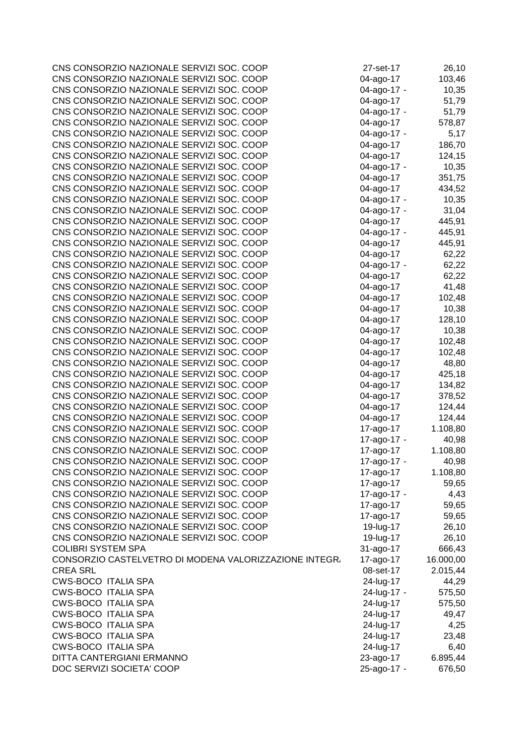| CNS CONSORZIO NAZIONALE SERVIZI SOC. COOP              | 27-set-17   | 26,10     |
|--------------------------------------------------------|-------------|-----------|
| CNS CONSORZIO NAZIONALE SERVIZI SOC. COOP              | 04-ago-17   | 103,46    |
| CNS CONSORZIO NAZIONALE SERVIZI SOC. COOP              | 04-ago-17 - | 10,35     |
| CNS CONSORZIO NAZIONALE SERVIZI SOC. COOP              | 04-ago-17   | 51,79     |
| CNS CONSORZIO NAZIONALE SERVIZI SOC. COOP              | 04-ago-17 - | 51,79     |
| CNS CONSORZIO NAZIONALE SERVIZI SOC. COOP              | 04-ago-17   | 578,87    |
| CNS CONSORZIO NAZIONALE SERVIZI SOC. COOP              | 04-ago-17 - | 5,17      |
| CNS CONSORZIO NAZIONALE SERVIZI SOC. COOP              | 04-ago-17   | 186,70    |
| CNS CONSORZIO NAZIONALE SERVIZI SOC. COOP              | 04-ago-17   | 124,15    |
| CNS CONSORZIO NAZIONALE SERVIZI SOC. COOP              | 04-ago-17 - | 10,35     |
| CNS CONSORZIO NAZIONALE SERVIZI SOC. COOP              | 04-ago-17   | 351,75    |
| CNS CONSORZIO NAZIONALE SERVIZI SOC. COOP              | 04-ago-17   | 434,52    |
| CNS CONSORZIO NAZIONALE SERVIZI SOC. COOP              | 04-ago-17 - | 10,35     |
| CNS CONSORZIO NAZIONALE SERVIZI SOC. COOP              | 04-ago-17 - | 31,04     |
| CNS CONSORZIO NAZIONALE SERVIZI SOC. COOP              | 04-ago-17   | 445,91    |
| CNS CONSORZIO NAZIONALE SERVIZI SOC. COOP              | 04-ago-17 - | 445,91    |
| CNS CONSORZIO NAZIONALE SERVIZI SOC. COOP              | 04-ago-17   | 445,91    |
| CNS CONSORZIO NAZIONALE SERVIZI SOC. COOP              | 04-ago-17   | 62,22     |
| CNS CONSORZIO NAZIONALE SERVIZI SOC. COOP              | 04-ago-17 - | 62,22     |
| CNS CONSORZIO NAZIONALE SERVIZI SOC. COOP              | 04-ago-17   | 62,22     |
| CNS CONSORZIO NAZIONALE SERVIZI SOC. COOP              | 04-ago-17   | 41,48     |
| CNS CONSORZIO NAZIONALE SERVIZI SOC. COOP              | 04-ago-17   | 102,48    |
| CNS CONSORZIO NAZIONALE SERVIZI SOC. COOP              | 04-ago-17   | 10,38     |
| CNS CONSORZIO NAZIONALE SERVIZI SOC. COOP              | 04-ago-17   | 128,10    |
| CNS CONSORZIO NAZIONALE SERVIZI SOC. COOP              | 04-ago-17   | 10,38     |
| CNS CONSORZIO NAZIONALE SERVIZI SOC. COOP              | 04-ago-17   | 102,48    |
| CNS CONSORZIO NAZIONALE SERVIZI SOC. COOP              | 04-ago-17   | 102,48    |
| CNS CONSORZIO NAZIONALE SERVIZI SOC. COOP              | 04-ago-17   | 48,80     |
| CNS CONSORZIO NAZIONALE SERVIZI SOC. COOP              | 04-ago-17   | 425,18    |
| CNS CONSORZIO NAZIONALE SERVIZI SOC. COOP              | 04-ago-17   | 134,82    |
| CNS CONSORZIO NAZIONALE SERVIZI SOC. COOP              | 04-ago-17   | 378,52    |
| CNS CONSORZIO NAZIONALE SERVIZI SOC. COOP              | 04-ago-17   | 124,44    |
| CNS CONSORZIO NAZIONALE SERVIZI SOC. COOP              | 04-ago-17   | 124,44    |
| CNS CONSORZIO NAZIONALE SERVIZI SOC. COOP              | 17-ago-17   | 1.108,80  |
| CNS CONSORZIO NAZIONALE SERVIZI SOC. COOP              | 17-ago-17 - | 40,98     |
| CNS CONSORZIO NAZIONALE SERVIZI SOC. COOP              | 17-ago-17   | 1.108,80  |
| CNS CONSORZIO NAZIONALE SERVIZI SOC. COOP              | 17-ago-17 - | 40,98     |
| CNS CONSORZIO NAZIONALE SERVIZI SOC. COOP              | 17-ago-17   | 1.108,80  |
| CNS CONSORZIO NAZIONALE SERVIZI SOC. COOP              | 17-ago-17   | 59,65     |
| CNS CONSORZIO NAZIONALE SERVIZI SOC. COOP              | 17-ago-17 - | 4,43      |
| CNS CONSORZIO NAZIONALE SERVIZI SOC. COOP              | 17-ago-17   | 59,65     |
| CNS CONSORZIO NAZIONALE SERVIZI SOC. COOP              | 17-ago-17   | 59,65     |
| CNS CONSORZIO NAZIONALE SERVIZI SOC. COOP              | 19-lug-17   | 26,10     |
| CNS CONSORZIO NAZIONALE SERVIZI SOC. COOP              | 19-lug-17   | 26,10     |
| <b>COLIBRI SYSTEM SPA</b>                              | 31-ago-17   | 666,43    |
| CONSORZIO CASTELVETRO DI MODENA VALORIZZAZIONE INTEGR. | 17-ago-17   | 16.000,00 |
| <b>CREA SRL</b>                                        | 08-set-17   | 2.015,44  |
| <b>CWS-BOCO ITALIA SPA</b>                             | 24-lug-17   | 44,29     |
| <b>CWS-BOCO ITALIA SPA</b>                             | 24-lug-17 - | 575,50    |
| <b>CWS-BOCO ITALIA SPA</b>                             | 24-lug-17   | 575,50    |
| <b>CWS-BOCO ITALIA SPA</b>                             | 24-lug-17   | 49,47     |
| <b>CWS-BOCO ITALIA SPA</b>                             | 24-lug-17   | 4,25      |
| <b>CWS-BOCO ITALIA SPA</b>                             | 24-lug-17   | 23,48     |
| <b>CWS-BOCO ITALIA SPA</b>                             | 24-lug-17   | 6,40      |
| DITTA CANTERGIANI ERMANNO                              | 23-ago-17   | 6.895,44  |
| DOC SERVIZI SOCIETA' COOP                              | 25-ago-17 - | 676,50    |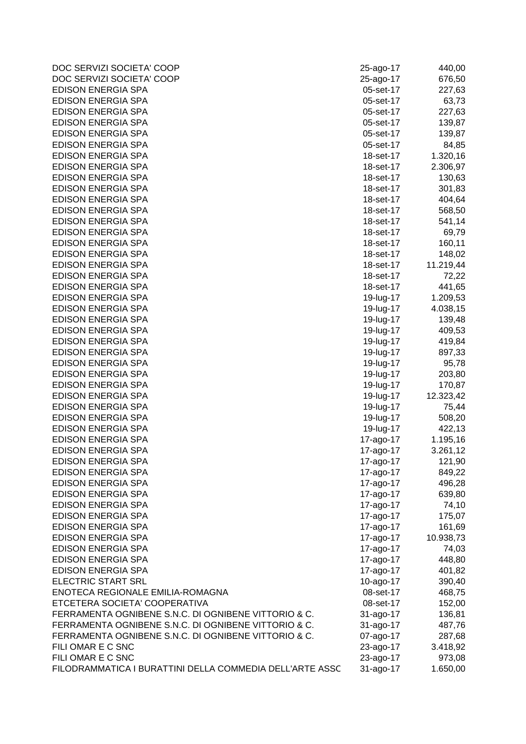| DOC SERVIZI SOCIETA' COOP                                | 25-ago-17 | 440,00    |
|----------------------------------------------------------|-----------|-----------|
| DOC SERVIZI SOCIETA' COOP                                | 25-ago-17 | 676,50    |
| <b>EDISON ENERGIA SPA</b>                                | 05-set-17 | 227,63    |
| EDISON ENERGIA SPA                                       | 05-set-17 | 63,73     |
| <b>EDISON ENERGIA SPA</b>                                | 05-set-17 | 227,63    |
| <b>EDISON ENERGIA SPA</b>                                | 05-set-17 | 139,87    |
| <b>EDISON ENERGIA SPA</b>                                | 05-set-17 | 139,87    |
| EDISON ENERGIA SPA                                       | 05-set-17 | 84,85     |
| <b>EDISON ENERGIA SPA</b>                                | 18-set-17 | 1.320,16  |
| EDISON ENERGIA SPA                                       | 18-set-17 | 2.306,97  |
| <b>EDISON ENERGIA SPA</b>                                | 18-set-17 | 130,63    |
| <b>EDISON ENERGIA SPA</b>                                | 18-set-17 | 301,83    |
| <b>EDISON ENERGIA SPA</b>                                | 18-set-17 | 404,64    |
| <b>EDISON ENERGIA SPA</b>                                | 18-set-17 | 568,50    |
| <b>EDISON ENERGIA SPA</b>                                | 18-set-17 | 541,14    |
| EDISON ENERGIA SPA                                       | 18-set-17 | 69,79     |
| EDISON ENERGIA SPA                                       | 18-set-17 | 160,11    |
| EDISON ENERGIA SPA                                       | 18-set-17 | 148,02    |
| EDISON ENERGIA SPA                                       | 18-set-17 | 11.219,44 |
| EDISON ENERGIA SPA                                       | 18-set-17 | 72,22     |
| EDISON ENERGIA SPA                                       | 18-set-17 | 441,65    |
| <b>EDISON ENERGIA SPA</b>                                | 19-lug-17 | 1.209,53  |
| <b>EDISON ENERGIA SPA</b>                                | 19-lug-17 | 4.038,15  |
| <b>EDISON ENERGIA SPA</b>                                | 19-lug-17 | 139,48    |
| EDISON ENERGIA SPA                                       | 19-lug-17 | 409,53    |
| <b>EDISON ENERGIA SPA</b>                                | 19-lug-17 | 419,84    |
| <b>EDISON ENERGIA SPA</b>                                | 19-lug-17 | 897,33    |
| <b>EDISON ENERGIA SPA</b>                                | 19-lug-17 | 95,78     |
| <b>EDISON ENERGIA SPA</b>                                | 19-lug-17 | 203,80    |
| <b>EDISON ENERGIA SPA</b>                                | 19-lug-17 | 170,87    |
| <b>EDISON ENERGIA SPA</b>                                | 19-lug-17 | 12.323,42 |
| <b>EDISON ENERGIA SPA</b>                                | 19-lug-17 | 75,44     |
| <b>EDISON ENERGIA SPA</b>                                | 19-lug-17 | 508,20    |
| <b>EDISON ENERGIA SPA</b>                                | 19-lug-17 | 422,13    |
| <b>EDISON ENERGIA SPA</b>                                | 17-ago-17 | 1.195,16  |
| EDISON ENERGIA SPA                                       | 17-ago-17 | 3.261,12  |
| <b>EDISON ENERGIA SPA</b>                                | 17-ago-17 | 121,90    |
| <b>EDISON ENERGIA SPA</b>                                | 17-ago-17 | 849,22    |
| <b>EDISON ENERGIA SPA</b>                                | 17-ago-17 | 496,28    |
| <b>EDISON ENERGIA SPA</b>                                | 17-ago-17 | 639,80    |
| <b>EDISON ENERGIA SPA</b>                                | 17-ago-17 | 74,10     |
| <b>EDISON ENERGIA SPA</b>                                | 17-ago-17 | 175,07    |
| <b>EDISON ENERGIA SPA</b>                                | 17-ago-17 | 161,69    |
| <b>EDISON ENERGIA SPA</b>                                | 17-ago-17 | 10.938,73 |
| <b>EDISON ENERGIA SPA</b>                                | 17-ago-17 | 74,03     |
| <b>EDISON ENERGIA SPA</b>                                | 17-ago-17 | 448,80    |
| <b>EDISON ENERGIA SPA</b>                                | 17-ago-17 | 401,82    |
| <b>ELECTRIC START SRL</b>                                | 10-ago-17 | 390,40    |
| ENOTECA REGIONALE EMILIA-ROMAGNA                         | 08-set-17 | 468,75    |
| ETCETERA SOCIETA' COOPERATIVA                            | 08-set-17 | 152,00    |
| FERRAMENTA OGNIBENE S.N.C. DI OGNIBENE VITTORIO & C.     | 31-ago-17 | 136,81    |
| FERRAMENTA OGNIBENE S.N.C. DI OGNIBENE VITTORIO & C.     | 31-ago-17 | 487,76    |
| FERRAMENTA OGNIBENE S.N.C. DI OGNIBENE VITTORIO & C.     | 07-ago-17 | 287,68    |
| FILI OMAR E C SNC                                        | 23-ago-17 | 3.418,92  |
| FILI OMAR E C SNC                                        | 23-ago-17 | 973,08    |
| FILODRAMMATICA I BURATTINI DELLA COMMEDIA DELL'ARTE ASSC | 31-ago-17 | 1.650,00  |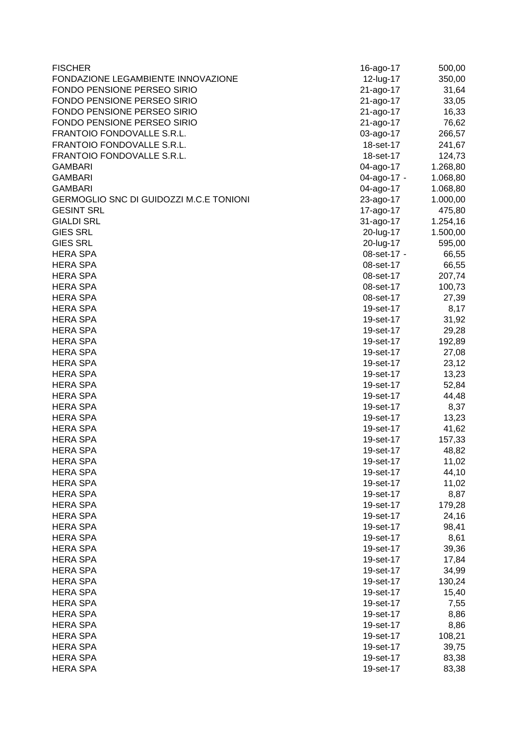| <b>FISCHER</b>                          | 16-ago-17   | 500,00   |
|-----------------------------------------|-------------|----------|
| FONDAZIONE LEGAMBIENTE INNOVAZIONE      | 12-lug-17   | 350,00   |
| FONDO PENSIONE PERSEO SIRIO             | 21-ago-17   | 31,64    |
| FONDO PENSIONE PERSEO SIRIO             | 21-ago-17   | 33,05    |
| FONDO PENSIONE PERSEO SIRIO             | 21-ago-17   | 16,33    |
| FONDO PENSIONE PERSEO SIRIO             | 21-ago-17   | 76,62    |
| FRANTOIO FONDOVALLE S.R.L.              | 03-ago-17   | 266,57   |
| FRANTOIO FONDOVALLE S.R.L.              | 18-set-17   | 241,67   |
| FRANTOIO FONDOVALLE S.R.L.              | 18-set-17   | 124,73   |
| <b>GAMBARI</b>                          | 04-ago-17   | 1.268,80 |
| <b>GAMBARI</b>                          | 04-ago-17 - | 1.068,80 |
| <b>GAMBARI</b>                          | 04-ago-17   | 1.068,80 |
| GERMOGLIO SNC DI GUIDOZZI M.C.E TONIONI | 23-ago-17   | 1.000,00 |
| <b>GESINT SRL</b>                       | 17-ago-17   | 475,80   |
| <b>GIALDI SRL</b>                       | 31-ago-17   | 1.254,16 |
| <b>GIES SRL</b>                         | 20-lug-17   | 1.500,00 |
| <b>GIES SRL</b>                         | 20-lug-17   | 595,00   |
| <b>HERA SPA</b>                         | 08-set-17 - | 66,55    |
| <b>HERA SPA</b>                         | 08-set-17   | 66,55    |
| <b>HERA SPA</b>                         | 08-set-17   | 207,74   |
| <b>HERA SPA</b>                         | 08-set-17   | 100,73   |
| <b>HERA SPA</b>                         | 08-set-17   | 27,39    |
| <b>HERA SPA</b>                         | 19-set-17   | 8,17     |
| <b>HERA SPA</b>                         | 19-set-17   | 31,92    |
| <b>HERA SPA</b>                         | 19-set-17   | 29,28    |
| <b>HERA SPA</b>                         | 19-set-17   | 192,89   |
| <b>HERA SPA</b>                         | 19-set-17   | 27,08    |
| <b>HERA SPA</b>                         | 19-set-17   | 23,12    |
| <b>HERA SPA</b>                         | 19-set-17   | 13,23    |
| <b>HERA SPA</b>                         |             |          |
| <b>HERA SPA</b>                         | 19-set-17   | 52,84    |
|                                         | 19-set-17   | 44,48    |
| <b>HERA SPA</b>                         | 19-set-17   | 8,37     |
| <b>HERA SPA</b>                         | 19-set-17   | 13,23    |
| <b>HERA SPA</b>                         | 19-set-17   | 41,62    |
| <b>HERA SPA</b>                         | 19-set-17   | 157,33   |
| <b>HERA SPA</b>                         | 19-set-17   | 48,82    |
| <b>HERA SPA</b>                         | 19-set-17   | 11,02    |
| <b>HERA SPA</b>                         | 19-set-17   | 44,10    |
| <b>HERA SPA</b>                         | 19-set-17   | 11,02    |
| <b>HERA SPA</b>                         | 19-set-17   | 8,87     |
| <b>HERA SPA</b>                         | 19-set-17   | 179,28   |
| <b>HERA SPA</b>                         | 19-set-17   | 24,16    |
| <b>HERA SPA</b>                         | 19-set-17   | 98,41    |
| <b>HERA SPA</b>                         | 19-set-17   | 8,61     |
| <b>HERA SPA</b>                         | 19-set-17   | 39,36    |
| <b>HERA SPA</b>                         | 19-set-17   | 17,84    |
| <b>HERA SPA</b>                         | 19-set-17   | 34,99    |
| <b>HERA SPA</b>                         | 19-set-17   | 130,24   |
| <b>HERA SPA</b>                         | 19-set-17   | 15,40    |
| <b>HERA SPA</b>                         | 19-set-17   | 7,55     |
| <b>HERA SPA</b>                         | 19-set-17   | 8,86     |
| <b>HERA SPA</b>                         | 19-set-17   | 8,86     |
| <b>HERA SPA</b>                         | 19-set-17   | 108,21   |
| <b>HERA SPA</b>                         | 19-set-17   | 39,75    |
| <b>HERA SPA</b>                         | 19-set-17   | 83,38    |
| <b>HERA SPA</b>                         | 19-set-17   | 83,38    |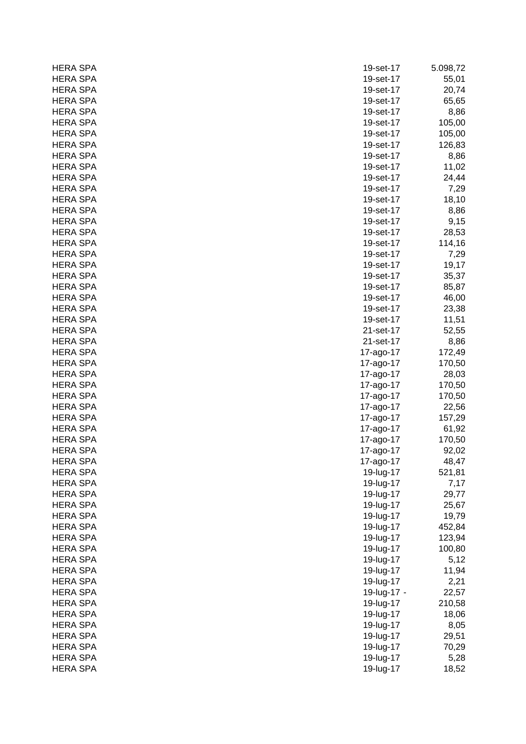| <b>HERA SPA</b> | 19-set-17   | 5.098,72 |
|-----------------|-------------|----------|
| <b>HERA SPA</b> | 19-set-17   | 55,01    |
| <b>HERA SPA</b> | 19-set-17   | 20,74    |
| <b>HERA SPA</b> | 19-set-17   | 65,65    |
| <b>HERA SPA</b> | 19-set-17   | 8,86     |
| <b>HERA SPA</b> | 19-set-17   | 105,00   |
| <b>HERA SPA</b> | 19-set-17   | 105,00   |
| <b>HERA SPA</b> | 19-set-17   | 126,83   |
| <b>HERA SPA</b> | 19-set-17   | 8,86     |
| <b>HERA SPA</b> | 19-set-17   | 11,02    |
| <b>HERA SPA</b> | 19-set-17   | 24,44    |
| <b>HERA SPA</b> | 19-set-17   | 7,29     |
| <b>HERA SPA</b> | 19-set-17   | 18,10    |
| <b>HERA SPA</b> | 19-set-17   | 8,86     |
| <b>HERA SPA</b> | 19-set-17   | 9,15     |
| <b>HERA SPA</b> | 19-set-17   | 28,53    |
| <b>HERA SPA</b> | 19-set-17   | 114,16   |
| <b>HERA SPA</b> | 19-set-17   | 7,29     |
| <b>HERA SPA</b> | 19-set-17   | 19,17    |
| <b>HERA SPA</b> | 19-set-17   | 35,37    |
| <b>HERA SPA</b> | 19-set-17   | 85,87    |
| <b>HERA SPA</b> | 19-set-17   | 46,00    |
| <b>HERA SPA</b> | 19-set-17   | 23,38    |
| <b>HERA SPA</b> | 19-set-17   | 11,51    |
| <b>HERA SPA</b> | 21-set-17   | 52,55    |
| <b>HERA SPA</b> | 21-set-17   | 8,86     |
| <b>HERA SPA</b> | 17-ago-17   | 172,49   |
| <b>HERA SPA</b> | 17-ago-17   | 170,50   |
| <b>HERA SPA</b> | 17-ago-17   | 28,03    |
| <b>HERA SPA</b> | 17-ago-17   | 170,50   |
| <b>HERA SPA</b> | 17-ago-17   | 170,50   |
| <b>HERA SPA</b> | 17-ago-17   | 22,56    |
| <b>HERA SPA</b> | 17-ago-17   | 157,29   |
| <b>HERA SPA</b> | 17-ago-17   | 61,92    |
| <b>HERA SPA</b> | 17-ago-17   | 170,50   |
| <b>HERA SPA</b> | 17-ago-17   | 92,02    |
| <b>HERA SPA</b> | 17-ago-17   | 48,47    |
| <b>HERA SPA</b> | 19-lug-17   | 521,81   |
| <b>HERA SPA</b> | 19-lug-17   | 7,17     |
| <b>HERA SPA</b> | 19-lug-17   | 29,77    |
| <b>HERA SPA</b> | 19-lug-17   | 25,67    |
| <b>HERA SPA</b> | 19-lug-17   | 19,79    |
| <b>HERA SPA</b> | 19-lug-17   | 452,84   |
| <b>HERA SPA</b> | 19-lug-17   | 123,94   |
| <b>HERA SPA</b> | 19-lug-17   | 100,80   |
| <b>HERA SPA</b> | 19-lug-17   | 5,12     |
| <b>HERA SPA</b> | 19-lug-17   | 11,94    |
| <b>HERA SPA</b> | 19-lug-17   | 2,21     |
| <b>HERA SPA</b> | 19-lug-17 - | 22,57    |
| <b>HERA SPA</b> | 19-lug-17   | 210,58   |
| <b>HERA SPA</b> | 19-lug-17   | 18,06    |
| <b>HERA SPA</b> | 19-lug-17   | 8,05     |
| <b>HERA SPA</b> | 19-lug-17   | 29,51    |
| <b>HERA SPA</b> | 19-lug-17   | 70,29    |
| <b>HERA SPA</b> | 19-lug-17   | 5,28     |
| <b>HERA SPA</b> | 19-lug-17   |          |
|                 |             | 18,52    |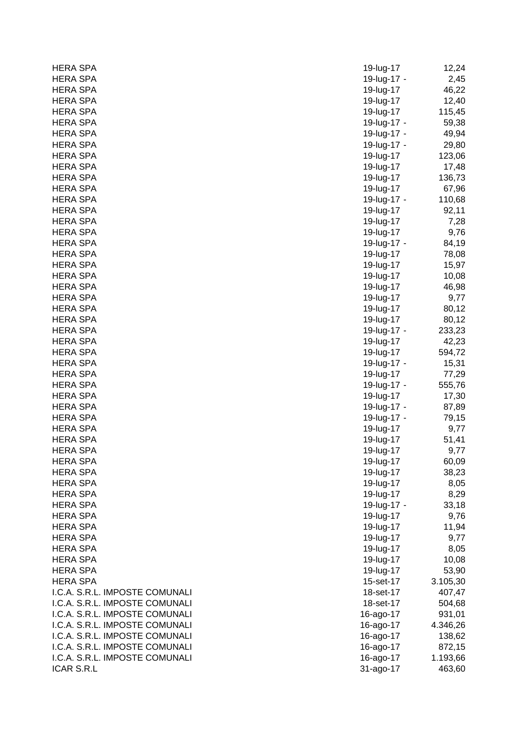| <b>HERA SPA</b>                | 19-lug-17   | 12,24    |
|--------------------------------|-------------|----------|
| <b>HERA SPA</b>                | 19-lug-17 - | 2,45     |
| <b>HERA SPA</b>                | 19-lug-17   | 46,22    |
| <b>HERA SPA</b>                | 19-lug-17   | 12,40    |
| <b>HERA SPA</b>                | 19-lug-17   | 115,45   |
| <b>HERA SPA</b>                | 19-lug-17 - | 59,38    |
| <b>HERA SPA</b>                | 19-lug-17 - | 49,94    |
| <b>HERA SPA</b>                | 19-lug-17 - | 29,80    |
| <b>HERA SPA</b>                | 19-lug-17   | 123,06   |
| <b>HERA SPA</b>                | 19-lug-17   | 17,48    |
| <b>HERA SPA</b>                | 19-lug-17   | 136,73   |
| <b>HERA SPA</b>                | 19-lug-17   | 67,96    |
| <b>HERA SPA</b>                | 19-lug-17 - | 110,68   |
| <b>HERA SPA</b>                | 19-lug-17   | 92,11    |
| <b>HERA SPA</b>                | 19-lug-17   | 7,28     |
| <b>HERA SPA</b>                | 19-lug-17   | 9,76     |
| <b>HERA SPA</b>                | 19-lug-17 - | 84,19    |
| <b>HERA SPA</b>                | 19-lug-17   | 78,08    |
| <b>HERA SPA</b>                | 19-lug-17   | 15,97    |
| <b>HERA SPA</b>                | 19-lug-17   | 10,08    |
| <b>HERA SPA</b>                | 19-lug-17   | 46,98    |
| <b>HERA SPA</b>                | 19-lug-17   | 9,77     |
| <b>HERA SPA</b>                | 19-lug-17   | 80,12    |
| <b>HERA SPA</b>                | 19-lug-17   | 80,12    |
| <b>HERA SPA</b>                | 19-lug-17 - | 233,23   |
| <b>HERA SPA</b>                | 19-lug-17   | 42,23    |
| <b>HERA SPA</b>                | 19-lug-17   | 594,72   |
| <b>HERA SPA</b>                | 19-lug-17 - | 15,31    |
| <b>HERA SPA</b>                | 19-lug-17   | 77,29    |
| <b>HERA SPA</b>                | 19-lug-17 - | 555,76   |
| <b>HERA SPA</b>                | 19-lug-17   | 17,30    |
| <b>HERA SPA</b>                | 19-lug-17 - | 87,89    |
| <b>HERA SPA</b>                | 19-lug-17 - | 79,15    |
| <b>HERA SPA</b>                | 19-lug-17   | 9,77     |
| <b>HERA SPA</b>                | 19-lug-17   | 51,41    |
| <b>HERA SPA</b>                | 19-lug-17   | 9,77     |
| <b>HERA SPA</b>                | 19-lug-17   | 60,09    |
| <b>HERA SPA</b>                | 19-lug-17   | 38,23    |
| <b>HERA SPA</b>                | 19-lug-17   | 8,05     |
| <b>HERA SPA</b>                | 19-lug-17   | 8,29     |
| <b>HERA SPA</b>                | 19-lug-17 - | 33,18    |
| <b>HERA SPA</b>                | 19-lug-17   | 9,76     |
| <b>HERA SPA</b>                | 19-lug-17   | 11,94    |
| <b>HERA SPA</b>                | 19-lug-17   | 9,77     |
| <b>HERA SPA</b>                | 19-lug-17   | 8,05     |
| HERA SPA                       | 19-lug-17   | 10,08    |
| <b>HERA SPA</b>                | 19-lug-17   | 53,90    |
| <b>HERA SPA</b>                | 15-set-17   | 3.105,30 |
| I.C.A. S.R.L. IMPOSTE COMUNALI | 18-set-17   | 407,47   |
| I.C.A. S.R.L. IMPOSTE COMUNALI | 18-set-17   | 504,68   |
| I.C.A. S.R.L. IMPOSTE COMUNALI | 16-ago-17   | 931,01   |
| I.C.A. S.R.L. IMPOSTE COMUNALI | 16-ago-17   | 4.346,26 |
| I.C.A. S.R.L. IMPOSTE COMUNALI | 16-ago-17   | 138,62   |
| I.C.A. S.R.L. IMPOSTE COMUNALI | 16-ago-17   | 872,15   |
| I.C.A. S.R.L. IMPOSTE COMUNALI | 16-ago-17   | 1.193,66 |
| ICAR S.R.L                     | 31-ago-17   | 463,60   |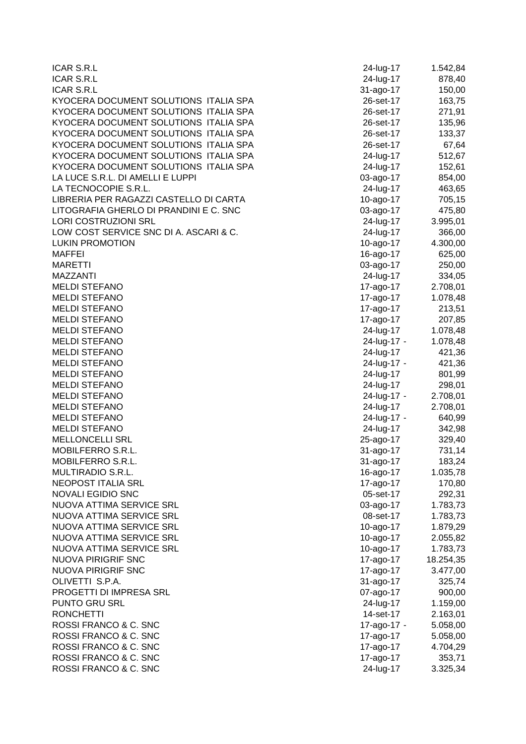| <b>ICAR S.R.L</b>                      | 24-lug-17   | 1.542,84             |
|----------------------------------------|-------------|----------------------|
| <b>ICAR S.R.L</b>                      | 24-lug-17   | 878,40               |
| <b>ICAR S.R.L</b>                      | 31-ago-17   | 150,00               |
| KYOCERA DOCUMENT SOLUTIONS ITALIA SPA  | 26-set-17   | 163,75               |
| KYOCERA DOCUMENT SOLUTIONS ITALIA SPA  | 26-set-17   | 271,91               |
| KYOCERA DOCUMENT SOLUTIONS ITALIA SPA  | 26-set-17   | 135,96               |
| KYOCERA DOCUMENT SOLUTIONS ITALIA SPA  | 26-set-17   | 133,37               |
| KYOCERA DOCUMENT SOLUTIONS ITALIA SPA  | 26-set-17   | 67,64                |
| KYOCERA DOCUMENT SOLUTIONS ITALIA SPA  | 24-lug-17   | 512,67               |
| KYOCERA DOCUMENT SOLUTIONS ITALIA SPA  | 24-lug-17   | 152,61               |
| LA LUCE S.R.L. DI AMELLI E LUPPI       | 03-ago-17   | 854,00               |
| LA TECNOCOPIE S.R.L.                   | 24-lug-17   | 463,65               |
| LIBRERIA PER RAGAZZI CASTELLO DI CARTA | 10-ago-17   | 705,15               |
| LITOGRAFIA GHERLO DI PRANDINI E C. SNC | 03-ago-17   | 475,80               |
| <b>LORI COSTRUZIONI SRL</b>            | 24-lug-17   | 3.995,01             |
| LOW COST SERVICE SNC DI A. ASCARI & C. | 24-lug-17   | 366,00               |
| <b>LUKIN PROMOTION</b>                 | 10-ago-17   | 4.300,00             |
| <b>MAFFEI</b>                          | 16-ago-17   | 625,00               |
| <b>MARETTI</b>                         | 03-ago-17   | 250,00               |
| <b>MAZZANTI</b>                        | 24-lug-17   | 334,05               |
| <b>MELDI STEFANO</b>                   | 17-ago-17   | 2.708,01             |
| <b>MELDI STEFANO</b>                   | 17-ago-17   | 1.078,48             |
| <b>MELDI STEFANO</b>                   | 17-ago-17   | 213,51               |
| <b>MELDI STEFANO</b>                   | 17-ago-17   | 207,85               |
| <b>MELDI STEFANO</b>                   | 24-lug-17   | 1.078,48             |
| <b>MELDI STEFANO</b>                   | 24-lug-17 - | 1.078,48             |
| <b>MELDI STEFANO</b>                   | 24-lug-17   | 421,36               |
| <b>MELDI STEFANO</b>                   | 24-lug-17 - | 421,36               |
| <b>MELDI STEFANO</b>                   | 24-lug-17   | 801,99               |
| <b>MELDI STEFANO</b>                   | 24-lug-17   | 298,01               |
| <b>MELDI STEFANO</b>                   | 24-lug-17 - | 2.708,01             |
| <b>MELDI STEFANO</b>                   | 24-lug-17   | 2.708,01             |
| <b>MELDI STEFANO</b>                   | 24-lug-17 - | 640,99               |
| <b>MELDI STEFANO</b>                   | 24-lug-17   | 342,98               |
| <b>MELLONCELLI SRL</b>                 | 25-ago-17   | 329,40               |
| MOBILFERRO S.R.L.                      | 31-ago-17   | 731,14               |
| MOBILFERRO S.R.L.                      | 31-ago-17   | 183,24               |
| MULTIRADIO S.R.L.                      | 16-ago-17   | 1.035,78             |
| NEOPOST ITALIA SRL                     | 17-ago-17   | 170,80               |
| NOVALI EGIDIO SNC                      | 05-set-17   | 292,31               |
| NUOVA ATTIMA SERVICE SRL               | 03-ago-17   | 1.783,73             |
| NUOVA ATTIMA SERVICE SRL               | 08-set-17   | 1.783,73             |
| NUOVA ATTIMA SERVICE SRL               | 10-ago-17   | 1.879,29             |
| NUOVA ATTIMA SERVICE SRL               | 10-ago-17   | 2.055,82             |
| NUOVA ATTIMA SERVICE SRL               | 10-ago-17   | 1.783,73             |
| <b>NUOVA PIRIGRIF SNC</b>              | 17-ago-17   | 18.254,35            |
| <b>NUOVA PIRIGRIF SNC</b>              | 17-ago-17   | 3.477,00             |
| OLIVETTI S.P.A.                        | 31-ago-17   | 325,74               |
| PROGETTI DI IMPRESA SRL                | 07-ago-17   | 900,00               |
| PUNTO GRU SRL                          | 24-lug-17   | 1.159,00             |
| <b>RONCHETTI</b>                       | 14-set-17   |                      |
| ROSSI FRANCO & C. SNC                  | 17-ago-17 - | 2.163,01<br>5.058,00 |
| ROSSI FRANCO & C. SNC                  | 17-ago-17   | 5.058,00             |
| ROSSI FRANCO & C. SNC                  | 17-ago-17   | 4.704,29             |
| ROSSI FRANCO & C. SNC                  | 17-ago-17   | 353,71               |
| ROSSI FRANCO & C. SNC                  | 24-lug-17   | 3.325,34             |
|                                        |             |                      |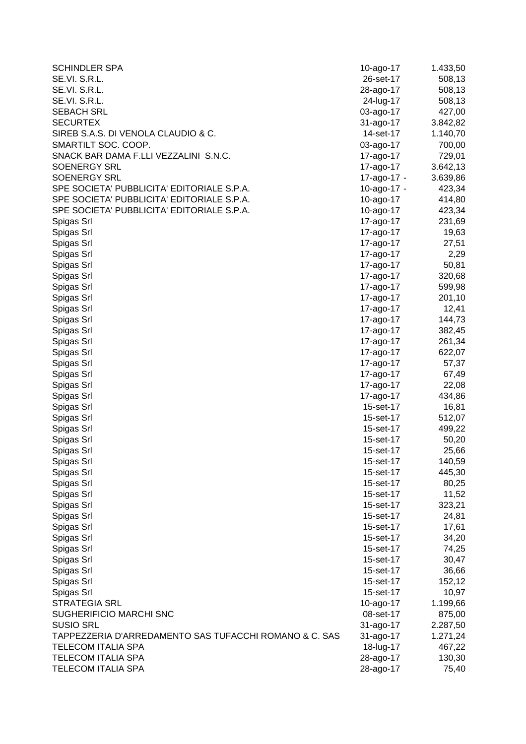| <b>SCHINDLER SPA</b>                                   | 10-ago-17   | 1.433,50 |
|--------------------------------------------------------|-------------|----------|
| SE.VI. S.R.L.                                          | 26-set-17   | 508,13   |
| SE.VI. S.R.L.                                          | 28-ago-17   | 508,13   |
| SE.VI. S.R.L.                                          | 24-lug-17   | 508,13   |
| <b>SEBACH SRL</b>                                      | 03-ago-17   | 427,00   |
| <b>SECURTEX</b>                                        | 31-ago-17   | 3.842,82 |
| SIREB S.A.S. DI VENOLA CLAUDIO & C.                    | 14-set-17   | 1.140,70 |
| SMARTILT SOC. COOP.                                    | 03-ago-17   | 700,00   |
| SNACK BAR DAMA F.LLI VEZZALINI S.N.C.                  | 17-ago-17   | 729,01   |
| <b>SOENERGY SRL</b>                                    | 17-ago-17   | 3.642,13 |
| <b>SOENERGY SRL</b>                                    | 17-ago-17 - | 3.639,86 |
| SPE SOCIETA' PUBBLICITA' EDITORIALE S.P.A.             | 10-ago-17 - | 423,34   |
| SPE SOCIETA' PUBBLICITA' EDITORIALE S.P.A.             | 10-ago-17   | 414,80   |
| SPE SOCIETA' PUBBLICITA' EDITORIALE S.P.A.             | 10-ago-17   | 423,34   |
| Spigas Srl                                             | 17-ago-17   | 231,69   |
| Spigas Srl                                             | 17-ago-17   | 19,63    |
| Spigas Srl                                             | 17-ago-17   | 27,51    |
| Spigas Srl                                             | 17-ago-17   | 2,29     |
| Spigas Srl                                             | 17-ago-17   | 50,81    |
| Spigas Srl                                             | 17-ago-17   | 320,68   |
| Spigas Srl                                             | 17-ago-17   | 599,98   |
| Spigas Srl                                             | 17-ago-17   | 201,10   |
| Spigas Srl                                             | 17-ago-17   | 12,41    |
| Spigas Srl                                             | 17-ago-17   | 144,73   |
| Spigas Srl                                             | 17-ago-17   | 382,45   |
| Spigas Srl                                             | 17-ago-17   | 261,34   |
| Spigas Srl                                             | 17-ago-17   | 622,07   |
| Spigas Srl                                             | 17-ago-17   | 57,37    |
| Spigas Srl                                             | 17-ago-17   | 67,49    |
| Spigas Srl                                             | 17-ago-17   | 22,08    |
| Spigas Srl                                             | 17-ago-17   | 434,86   |
| Spigas Srl                                             | 15-set-17   | 16,81    |
| Spigas Srl                                             | 15-set-17   | 512,07   |
| Spigas Srl                                             | 15-set-17   | 499,22   |
| Spigas Srl                                             | 15-set-17   | 50,20    |
| Spigas Srl                                             | 15-set-17   | 25,66    |
| Spigas Srl                                             | 15-set-17   | 140,59   |
| Spigas Srl                                             | 15-set-17   | 445,30   |
| Spigas Srl                                             | 15-set-17   | 80,25    |
| Spigas Srl                                             | 15-set-17   | 11,52    |
| Spigas Srl                                             | 15-set-17   | 323,21   |
| Spigas Srl                                             | 15-set-17   | 24,81    |
| Spigas Srl                                             | 15-set-17   | 17,61    |
| Spigas Srl                                             | 15-set-17   | 34,20    |
| Spigas Srl                                             | 15-set-17   | 74,25    |
| Spigas Srl                                             | 15-set-17   | 30,47    |
| Spigas Srl                                             | 15-set-17   | 36,66    |
| Spigas Srl                                             | 15-set-17   | 152,12   |
| Spigas Srl                                             | 15-set-17   | 10,97    |
| <b>STRATEGIA SRL</b>                                   | 10-ago-17   | 1.199,66 |
| SUGHERIFICIO MARCHI SNC                                | 08-set-17   | 875,00   |
| <b>SUSIO SRL</b>                                       | 31-ago-17   | 2.287,50 |
| TAPPEZZERIA D'ARREDAMENTO SAS TUFACCHI ROMANO & C. SAS | 31-ago-17   | 1.271,24 |
| <b>TELECOM ITALIA SPA</b>                              | 18-lug-17   | 467,22   |
| <b>TELECOM ITALIA SPA</b>                              | 28-ago-17   | 130,30   |
| <b>TELECOM ITALIA SPA</b>                              | 28-ago-17   | 75,40    |
|                                                        |             |          |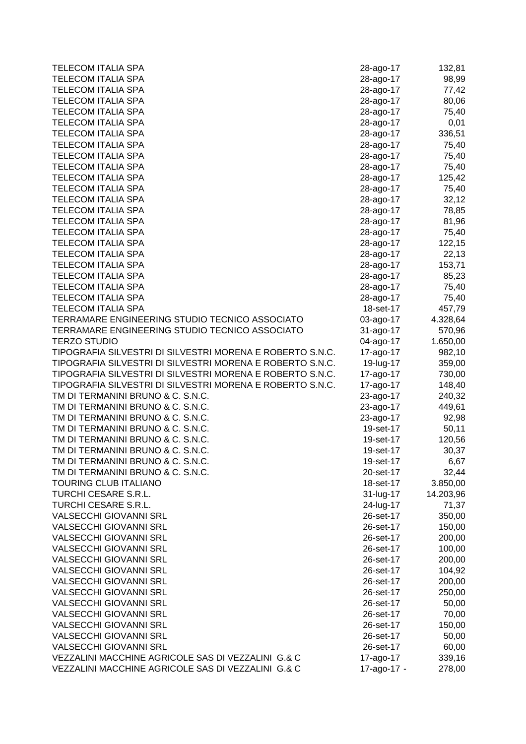| <b>TELECOM ITALIA SPA</b>                                 | 28-ago-17   | 132,81    |
|-----------------------------------------------------------|-------------|-----------|
| <b>TELECOM ITALIA SPA</b>                                 | 28-ago-17   | 98,99     |
| <b>TELECOM ITALIA SPA</b>                                 | 28-ago-17   | 77,42     |
| <b>TELECOM ITALIA SPA</b>                                 | 28-ago-17   | 80,06     |
| <b>TELECOM ITALIA SPA</b>                                 | 28-ago-17   | 75,40     |
| <b>TELECOM ITALIA SPA</b>                                 | 28-ago-17   | 0,01      |
| <b>TELECOM ITALIA SPA</b>                                 | 28-ago-17   | 336,51    |
| <b>TELECOM ITALIA SPA</b>                                 | 28-ago-17   | 75,40     |
| <b>TELECOM ITALIA SPA</b>                                 | 28-ago-17   | 75,40     |
| <b>TELECOM ITALIA SPA</b>                                 | 28-ago-17   | 75,40     |
| <b>TELECOM ITALIA SPA</b>                                 | 28-ago-17   | 125,42    |
| TELECOM ITALIA SPA                                        | 28-ago-17   | 75,40     |
| <b>TELECOM ITALIA SPA</b>                                 | 28-ago-17   | 32,12     |
| <b>TELECOM ITALIA SPA</b>                                 | 28-ago-17   | 78,85     |
| <b>TELECOM ITALIA SPA</b>                                 | 28-ago-17   | 81,96     |
| <b>TELECOM ITALIA SPA</b>                                 | 28-ago-17   | 75,40     |
| <b>TELECOM ITALIA SPA</b>                                 | 28-ago-17   | 122,15    |
| <b>TELECOM ITALIA SPA</b>                                 | 28-ago-17   | 22,13     |
| <b>TELECOM ITALIA SPA</b>                                 | 28-ago-17   | 153,71    |
| <b>TELECOM ITALIA SPA</b>                                 | 28-ago-17   | 85,23     |
| <b>TELECOM ITALIA SPA</b>                                 | 28-ago-17   | 75,40     |
| <b>TELECOM ITALIA SPA</b>                                 | 28-ago-17   | 75,40     |
| <b>TELECOM ITALIA SPA</b>                                 | 18-set-17   | 457,79    |
| TERRAMARE ENGINEERING STUDIO TECNICO ASSOCIATO            | 03-ago-17   | 4.328,64  |
| TERRAMARE ENGINEERING STUDIO TECNICO ASSOCIATO            | 31-ago-17   | 570,96    |
| <b>TERZO STUDIO</b>                                       | 04-ago-17   | 1.650,00  |
| TIPOGRAFIA SILVESTRI DI SILVESTRI MORENA E ROBERTO S.N.C. | 17-ago-17   | 982,10    |
| TIPOGRAFIA SILVESTRI DI SILVESTRI MORENA E ROBERTO S.N.C. | 19-lug-17   | 359,00    |
| TIPOGRAFIA SILVESTRI DI SILVESTRI MORENA E ROBERTO S.N.C. | 17-ago-17   | 730,00    |
| TIPOGRAFIA SILVESTRI DI SILVESTRI MORENA E ROBERTO S.N.C. | 17-ago-17   | 148,40    |
| TM DI TERMANINI BRUNO & C. S.N.C.                         | 23-ago-17   | 240,32    |
| TM DI TERMANINI BRUNO & C. S.N.C.                         | 23-ago-17   | 449,61    |
| TM DI TERMANINI BRUNO & C. S.N.C.                         | 23-ago-17   | 92,98     |
| TM DI TERMANINI BRUNO & C. S.N.C.                         | 19-set-17   | 50,11     |
| TM DI TERMANINI BRUNO & C. S.N.C.                         | 19-set-17   | 120,56    |
| TM DI TERMANINI BRUNO & C. S.N.C.                         | 19-set-17   | 30,37     |
| TM DI TERMANINI BRUNO & C. S.N.C.                         | 19-set-17   | 6,67      |
| TM DI TERMANINI BRUNO & C. S.N.C.                         | 20-set-17   | 32,44     |
| <b>TOURING CLUB ITALIANO</b>                              | 18-set-17   | 3.850,00  |
| TURCHI CESARE S.R.L.                                      | 31-lug-17   | 14.203,96 |
| TURCHI CESARE S.R.L.                                      | 24-lug-17   | 71,37     |
| <b>VALSECCHI GIOVANNI SRL</b>                             | 26-set-17   | 350,00    |
| <b>VALSECCHI GIOVANNI SRL</b>                             | 26-set-17   | 150,00    |
| <b>VALSECCHI GIOVANNI SRL</b>                             | 26-set-17   | 200,00    |
| <b>VALSECCHI GIOVANNI SRL</b>                             | 26-set-17   | 100,00    |
| <b>VALSECCHI GIOVANNI SRL</b>                             | 26-set-17   | 200,00    |
| <b>VALSECCHI GIOVANNI SRL</b>                             | 26-set-17   | 104,92    |
| <b>VALSECCHI GIOVANNI SRL</b>                             | 26-set-17   | 200,00    |
| <b>VALSECCHI GIOVANNI SRL</b>                             | 26-set-17   | 250,00    |
| <b>VALSECCHI GIOVANNI SRL</b>                             | 26-set-17   | 50,00     |
| <b>VALSECCHI GIOVANNI SRL</b>                             | 26-set-17   | 70,00     |
| <b>VALSECCHI GIOVANNI SRL</b>                             | 26-set-17   | 150,00    |
| <b>VALSECCHI GIOVANNI SRL</b>                             | 26-set-17   | 50,00     |
| <b>VALSECCHI GIOVANNI SRL</b>                             | 26-set-17   | 60,00     |
| VEZZALINI MACCHINE AGRICOLE SAS DI VEZZALINI G.& C        | 17-ago-17   | 339,16    |
| VEZZALINI MACCHINE AGRICOLE SAS DI VEZZALINI G.& C        | 17-ago-17 - | 278,00    |
|                                                           |             |           |